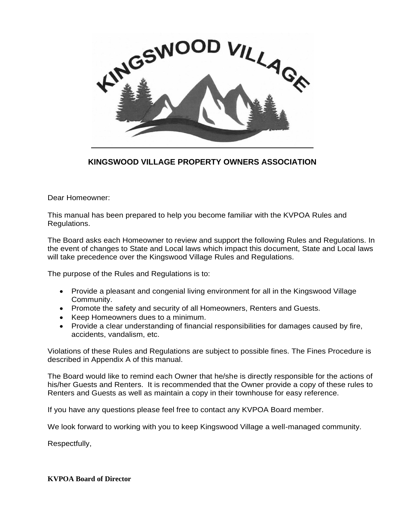

**KINGSWOOD VILLAGE PROPERTY OWNERS ASSOCIATION**

Dear Homeowner:

This manual has been prepared to help you become familiar with the KVPOA Rules and Regulations.

The Board asks each Homeowner to review and support the following Rules and Regulations. In the event of changes to State and Local laws which impact this document, State and Local laws will take precedence over the Kingswood Village Rules and Regulations.

The purpose of the Rules and Regulations is to:

- Provide a pleasant and congenial living environment for all in the Kingswood Village Community.
- Promote the safety and security of all Homeowners, Renters and Guests.
- Keep Homeowners dues to a minimum.
- Provide a clear understanding of financial responsibilities for damages caused by fire, accidents, vandalism, etc.

Violations of these Rules and Regulations are subject to possible fines. The Fines Procedure is described in Appendix A of this manual.

The Board would like to remind each Owner that he/she is directly responsible for the actions of his/her Guests and Renters. It is recommended that the Owner provide a copy of these rules to Renters and Guests as well as maintain a copy in their townhouse for easy reference.

If you have any questions please feel free to contact any KVPOA Board member.

We look forward to working with you to keep Kingswood Village a well-managed community.

Respectfully,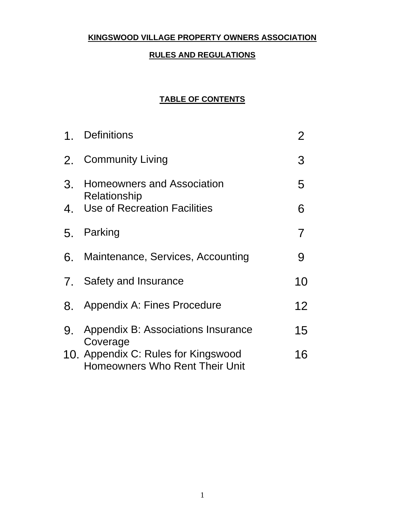# **KINGSWOOD VILLAGE PROPERTY OWNERS ASSOCIATION**

## **RULES AND REGULATIONS**

## **TABLE OF CONTENTS**

|    | 1. Definitions                                                                           | 2  |
|----|------------------------------------------------------------------------------------------|----|
|    | 2. Community Living                                                                      | 3  |
|    | 3. Homeowners and Association<br>Relationship                                            | 5  |
|    | 4. Use of Recreation Facilities                                                          | 6  |
|    | 5. Parking                                                                               | 7  |
|    | 6. Maintenance, Services, Accounting                                                     | 9  |
|    | 7. Safety and Insurance                                                                  | 10 |
|    | 8. Appendix A: Fines Procedure                                                           | 12 |
| 9. | Appendix B: Associations Insurance                                                       | 15 |
|    | Coverage<br>10. Appendix C: Rules for Kingswood<br><b>Homeowners Who Rent Their Unit</b> | 16 |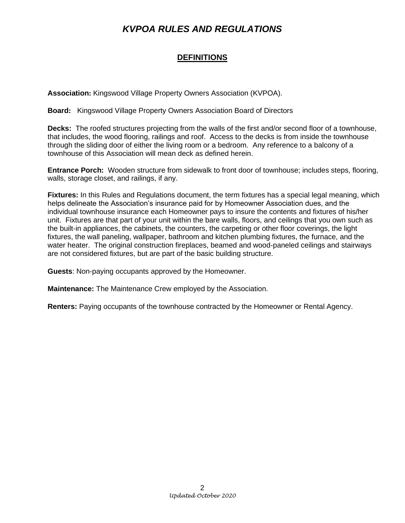## **DEFINITIONS**

**Association:** Kingswood Village Property Owners Association (KVPOA).

**Board:** Kingswood Village Property Owners Association Board of Directors

**Decks:** The roofed structures projecting from the walls of the first and/or second floor of a townhouse, that includes, the wood flooring, railings and roof. Access to the decks is from inside the townhouse through the sliding door of either the living room or a bedroom. Any reference to a balcony of a townhouse of this Association will mean deck as defined herein.

**Entrance Porch:** Wooden structure from sidewalk to front door of townhouse; includes steps, flooring, walls, storage closet, and railings, if any.

**Fixtures:** In this Rules and Regulations document, the term fixtures has a special legal meaning, which helps delineate the Association's insurance paid for by Homeowner Association dues, and the individual townhouse insurance each Homeowner pays to insure the contents and fixtures of his/her unit. Fixtures are that part of your unit within the bare walls, floors, and ceilings that you own such as the built-in appliances, the cabinets, the counters, the carpeting or other floor coverings, the light fixtures, the wall paneling, wallpaper, bathroom and kitchen plumbing fixtures, the furnace, and the water heater. The original construction fireplaces, beamed and wood-paneled ceilings and stairways are not considered fixtures, but are part of the basic building structure.

**Guests**: Non-paying occupants approved by the Homeowner.

**Maintenance:** The Maintenance Crew employed by the Association.

**Renters:** Paying occupants of the townhouse contracted by the Homeowner or Rental Agency.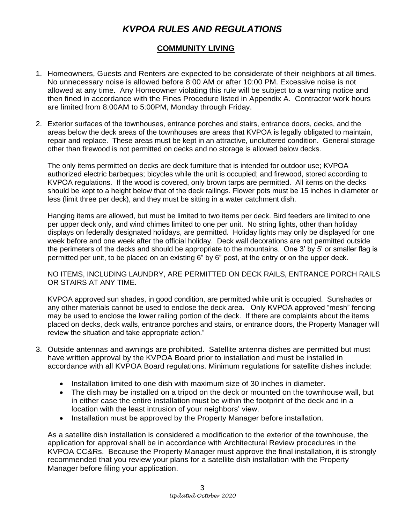## **COMMUNITY LIVING**

- 1. Homeowners, Guests and Renters are expected to be considerate of their neighbors at all times. No unnecessary noise is allowed before 8:00 AM or after 10:00 PM. Excessive noise is not allowed at any time. Any Homeowner violating this rule will be subject to a warning notice and then fined in accordance with the Fines Procedure listed in Appendix A. Contractor work hours are limited from 8:00AM to 5:00PM, Monday through Friday.
- 2. Exterior surfaces of the townhouses, entrance porches and stairs, entrance doors, decks, and the areas below the deck areas of the townhouses are areas that KVPOA is legally obligated to maintain, repair and replace. These areas must be kept in an attractive, uncluttered condition. General storage other than firewood is not permitted on decks and no storage is allowed below decks.

The only items permitted on decks are deck furniture that is intended for outdoor use; KVPOA authorized electric barbeques; bicycles while the unit is occupied; and firewood, stored according to KVPOA regulations. If the wood is covered, only brown tarps are permitted. All items on the decks should be kept to a height below that of the deck railings. Flower pots must be 15 inches in diameter or less (limit three per deck), and they must be sitting in a water catchment dish.

Hanging items are allowed, but must be limited to two items per deck. Bird feeders are limited to one per upper deck only, and wind chimes limited to one per unit. No string lights, other than holiday displays on federally designated holidays, are permitted. Holiday lights may only be displayed for one week before and one week after the official holiday. Deck wall decorations are not permitted outside the perimeters of the decks and should be appropriate to the mountains. One 3' by 5' or smaller flag is permitted per unit, to be placed on an existing 6" by 6" post, at the entry or on the upper deck.

NO ITEMS, INCLUDING LAUNDRY, ARE PERMITTED ON DECK RAILS, ENTRANCE PORCH RAILS OR STAIRS AT ANY TIME.

KVPOA approved sun shades, in good condition, are permitted while unit is occupied. Sunshades or any other materials cannot be used to enclose the deck area. Only KVPOA approved "mesh" fencing may be used to enclose the lower railing portion of the deck. If there are complaints about the items placed on decks, deck walls, entrance porches and stairs, or entrance doors, the Property Manager will review the situation and take appropriate action."

- 3. Outside antennas and awnings are prohibited. Satellite antenna dishes are permitted but must have written approval by the KVPOA Board prior to installation and must be installed in accordance with all KVPOA Board regulations. Minimum regulations for satellite dishes include:
	- Installation limited to one dish with maximum size of 30 inches in diameter.
	- The dish may be installed on a tripod on the deck or mounted on the townhouse wall, but in either case the entire installation must be within the footprint of the deck and in a location with the least intrusion of your neighbors' view.
	- Installation must be approved by the Property Manager before installation.

As a satellite dish installation is considered a modification to the exterior of the townhouse, the application for approval shall be in accordance with Architectural Review procedures in the KVPOA CC&Rs. Because the Property Manager must approve the final installation, it is strongly recommended that you review your plans for a satellite dish installation with the Property Manager before filing your application.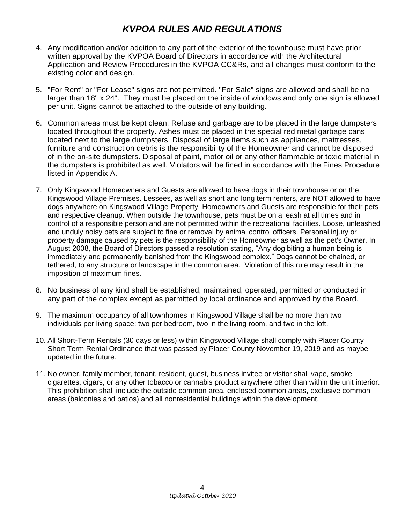- 4. Any modification and/or addition to any part of the exterior of the townhouse must have prior written approval by the KVPOA Board of Directors in accordance with the Architectural Application and Review Procedures in the KVPOA CC&Rs, and all changes must conform to the existing color and design.
- 5. "For Rent" or "For Lease" signs are not permitted. "For Sale" signs are allowed and shall be no larger than 18" x 24". They must be placed on the inside of windows and only one sign is allowed per unit. Signs cannot be attached to the outside of any building.
- 6. Common areas must be kept clean. Refuse and garbage are to be placed in the large dumpsters located throughout the property. Ashes must be placed in the special red metal garbage cans located next to the large dumpsters. Disposal of large items such as appliances, mattresses, furniture and construction debris is the responsibility of the Homeowner and cannot be disposed of in the on-site dumpsters. Disposal of paint, motor oil or any other flammable or toxic material in the dumpsters is prohibited as well. Violators will be fined in accordance with the Fines Procedure listed in Appendix A.
- 7. Only Kingswood Homeowners and Guests are allowed to have dogs in their townhouse or on the Kingswood Village Premises. Lessees, as well as short and long term renters, are NOT allowed to have dogs anywhere on Kingswood Village Property. Homeowners and Guests are responsible for their pets and respective cleanup. When outside the townhouse, pets must be on a leash at all times and in control of a responsible person and are not permitted within the recreational facilities. Loose, unleashed and unduly noisy pets are subject to fine or removal by animal control officers. Personal injury or property damage caused by pets is the responsibility of the Homeowner as well as the pet's Owner. In August 2008, the Board of Directors passed a resolution stating, "Any dog biting a human being is immediately and permanently banished from the Kingswood complex." Dogs cannot be chained, or tethered, to any structure or landscape in the common area. Violation of this rule may result in the imposition of maximum fines.
- 8. No business of any kind shall be established, maintained, operated, permitted or conducted in any part of the complex except as permitted by local ordinance and approved by the Board.
- 9. The maximum occupancy of all townhomes in Kingswood Village shall be no more than two individuals per living space: two per bedroom, two in the living room, and two in the loft.
- 10. All Short-Term Rentals (30 days or less) within Kingswood Village shall comply with Placer County Short Term Rental Ordinance that was passed by Placer County November 19, 2019 and as maybe updated in the future.
- 11. No owner, family member, tenant, resident, guest, business invitee or visitor shall vape, smoke cigarettes, cigars, or any other tobacco or cannabis product anywhere other than within the unit interior. This prohibition shall include the outside common area, enclosed common areas, exclusive common areas (balconies and patios) and all nonresidential buildings within the development.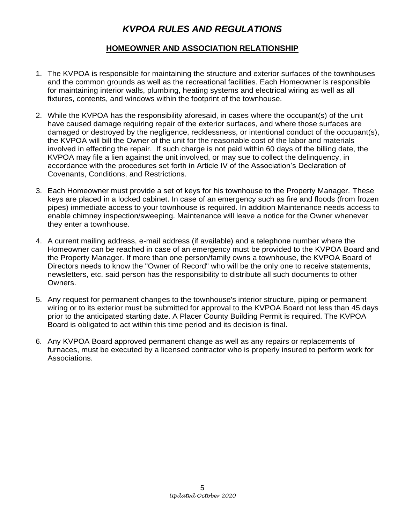## **HOMEOWNER AND ASSOCIATION RELATIONSHIP**

- 1. The KVPOA is responsible for maintaining the structure and exterior surfaces of the townhouses and the common grounds as well as the recreational facilities. Each Homeowner is responsible for maintaining interior walls, plumbing, heating systems and electrical wiring as well as all fixtures, contents, and windows within the footprint of the townhouse.
- 2. While the KVPOA has the responsibility aforesaid, in cases where the occupant(s) of the unit have caused damage requiring repair of the exterior surfaces, and where those surfaces are damaged or destroyed by the negligence, recklessness, or intentional conduct of the occupant(s), the KVPOA will bill the Owner of the unit for the reasonable cost of the labor and materials involved in effecting the repair. If such charge is not paid within 60 days of the billing date, the KVPOA may file a lien against the unit involved, or may sue to collect the delinquency, in accordance with the procedures set forth in Article IV of the Association's Declaration of Covenants, Conditions, and Restrictions.
- 3. Each Homeowner must provide a set of keys for his townhouse to the Property Manager. These keys are placed in a locked cabinet. In case of an emergency such as fire and floods (from frozen pipes) immediate access to your townhouse is required. In addition Maintenance needs access to enable chimney inspection/sweeping. Maintenance will leave a notice for the Owner whenever they enter a townhouse.
- 4. A current mailing address, e-mail address (if available) and a telephone number where the Homeowner can be reached in case of an emergency must be provided to the KVPOA Board and the Property Manager. If more than one person/family owns a townhouse, the KVPOA Board of Directors needs to know the "Owner of Record" who will be the only one to receive statements, newsletters, etc. said person has the responsibility to distribute all such documents to other Owners.
- 5. Any request for permanent changes to the townhouse's interior structure, piping or permanent wiring or to its exterior must be submitted for approval to the KVPOA Board not less than 45 days prior to the anticipated starting date. A Placer County Building Permit is required. The KVPOA Board is obligated to act within this time period and its decision is final.
- 6. Any KVPOA Board approved permanent change as well as any repairs or replacements of furnaces, must be executed by a licensed contractor who is properly insured to perform work for Associations.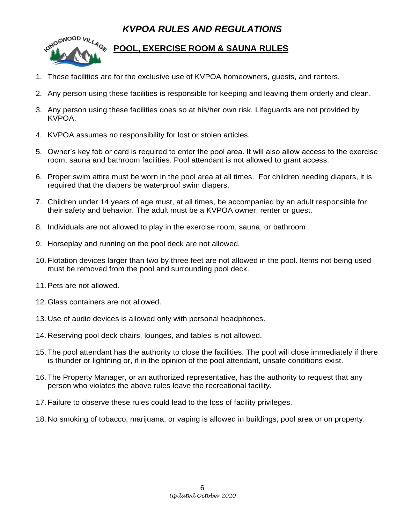

# **POOL, EXERCISE ROOM & SAUNA RULES**

- 1. These facilities are for the exclusive use of KVPOA homeowners, guests, and renters.
- 2. Any person using these facilities is responsible for keeping and leaving them orderly and clean.
- 3. Any person using these facilities does so at his/her own risk. Lifeguards are not provided by KVPOA.
- 4. KVPOA assumes no responsibility for lost or stolen articles.
- 5. Owner's key fob or card is required to enter the pool area. It will also allow access to the exercise room, sauna and bathroom facilities. Pool attendant is not allowed to grant access.
- 6. Proper swim attire must be worn in the pool area at all times. For children needing diapers, it is required that the diapers be waterproof swim diapers.
- 7. Children under 14 years of age must, at all times, be accompanied by an adult responsible for their safety and behavior. The adult must be a KVPOA owner, renter or guest.
- 8. Individuals are not allowed to play in the exercise room, sauna, or bathroom
- 9. Horseplay and running on the pool deck are not allowed.
- 10. Flotation devices larger than two by three feet are not allowed in the pool. Items not being used must be removed from the pool and surrounding pool deck.
- 11. Pets are not allowed.
- 12. Glass containers are not allowed.
- 13. Use of audio devices is allowed only with personal headphones.
- 14. Reserving pool deck chairs, lounges, and tables is not allowed.
- 15. The pool attendant has the authority to close the facilities. The pool will close immediately if there is thunder or lightning or, if in the opinion of the pool attendant, unsafe conditions exist.
- 16. The Property Manager, or an authorized representative, has the authority to request that any person who violates the above rules leave the recreational facility.
- 17. Failure to observe these rules could lead to the loss of facility privileges.
- 18. No smoking of tobacco, marijuana, or vaping is allowed in buildings, pool area or on property.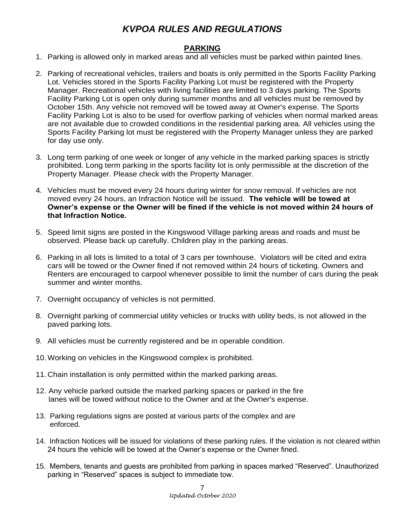#### **PARKING**

- 1. Parking is allowed only in marked areas and all vehicles must be parked within painted lines.
- 2. Parking of recreational vehicles, trailers and boats is only permitted in the Sports Facility Parking Lot. Vehicles stored in the Sports Facility Parking Lot must be registered with the Property Manager. Recreational vehicles with living facilities are limited to 3 days parking. The Sports Facility Parking Lot is open only during summer months and all vehicles must be removed by October 15th. Any vehicle not removed will be towed away at Owner's expense. The Sports Facility Parking Lot is also to be used for overflow parking of vehicles when normal marked areas are not available due to crowded conditions in the residential parking area. All vehicles using the Sports Facility Parking lot must be registered with the Property Manager unless they are parked for day use only.
- 3. Long term parking of one week or longer of any vehicle in the marked parking spaces is strictly prohibited. Long term parking in the sports facility lot is only permissible at the discretion of the Property Manager. Please check with the Property Manager.
- 4. Vehicles must be moved every 24 hours during winter for snow removal. If vehicles are not moved every 24 hours, an Infraction Notice will be issued. **The vehicle will be towed at Owner's expense or the Owner will be fined if the vehicle is not moved within 24 hours of that Infraction Notice.**
- 5. Speed limit signs are posted in the Kingswood Village parking areas and roads and must be observed. Please back up carefully. Children play in the parking areas.
- 6. Parking in all lots is limited to a total of 3 cars per townhouse. Violators will be cited and extra cars will be towed or the Owner fined if not removed within 24 hours of ticketing. Owners and Renters are encouraged to carpool whenever possible to limit the number of cars during the peak summer and winter months.
- 7. Overnight occupancy of vehicles is not permitted.
- 8. Overnight parking of commercial utility vehicles or trucks with utility beds, is not allowed in the paved parking lots.
- 9. All vehicles must be currently registered and be in operable condition.
- 10. Working on vehicles in the Kingswood complex is prohibited.
- 11. Chain installation is only permitted within the marked parking areas.
- 12. Any vehicle parked outside the marked parking spaces or parked in the fire lanes will be towed without notice to the Owner and at the Owner's expense.
- 13. Parking regulations signs are posted at various parts of the complex and are enforced.
- 14. Infraction Notices will be issued for violations of these parking rules. If the violation is not cleared within 24 hours the vehicle will be towed at the Owner's expense or the Owner fined.
- 15. Members, tenants and guests are prohibited from parking in spaces marked "Reserved". Unauthorized parking in "Reserved" spaces is subject to immediate tow.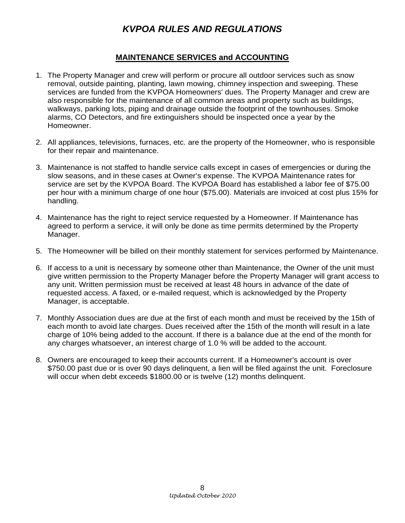#### **MAINTENANCE SERVICES and ACCOUNTING**

- 1. The Property Manager and crew will perform or procure all outdoor services such as snow removal, outside painting, planting, lawn mowing, chimney inspection and sweeping. These services are funded from the KVPOA Homeowners' dues. The Property Manager and crew are also responsible for the maintenance of all common areas and property such as buildings, walkways, parking lots, piping and drainage outside the footprint of the townhouses. Smoke alarms, CO Detectors, and fire extinguishers should be inspected once a year by the Homeowner.
- 2. All appliances, televisions, furnaces, etc. are the property of the Homeowner, who is responsible for their repair and maintenance.
- 3. Maintenance is not staffed to handle service calls except in cases of emergencies or during the slow seasons, and in these cases at Owner's expense. The KVPOA Maintenance rates for service are set by the KVPOA Board. The KVPOA Board has established a labor fee of \$75.00 per hour with a minimum charge of one hour (\$75.00). Materials are invoiced at cost plus 15% for handling.
- 4. Maintenance has the right to reject service requested by a Homeowner. If Maintenance has agreed to perform a service, it will only be done as time permits determined by the Property Manager.
- 5. The Homeowner will be billed on their monthly statement for services performed by Maintenance.
- 6. If access to a unit is necessary by someone other than Maintenance, the Owner of the unit must give written permission to the Property Manager before the Property Manager will grant access to any unit. Written permission must be received at least 48 hours in advance of the date of requested access. A faxed, or e-mailed request, which is acknowledged by the Property Manager, is acceptable.
- 7. Monthly Association dues are due at the first of each month and must be received by the 15th of each month to avoid late charges. Dues received after the 15th of the month will result in a late charge of 10% being added to the account. If there is a balance due at the end of the month for any charges whatsoever, an interest charge of 1.0 % will be added to the account.
- 8. Owners are encouraged to keep their accounts current. If a Homeowner's account is over \$750.00 past due or is over 90 days delinquent, a lien will be filed against the unit. Foreclosure will occur when debt exceeds \$1800.00 or is twelve (12) months delinquent.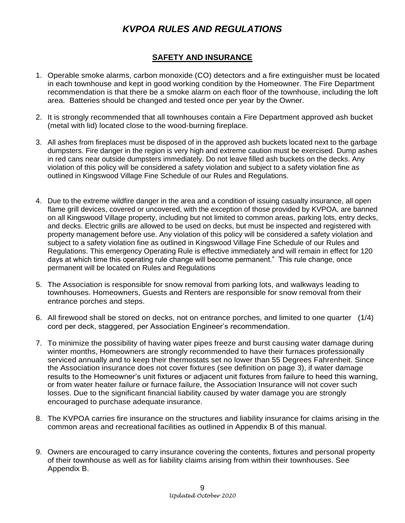## **SAFETY AND INSURANCE**

- 1. Operable smoke alarms, carbon monoxide (CO) detectors and a fire extinguisher must be located in each townhouse and kept in good working condition by the Homeowner. The Fire Department recommendation is that there be a smoke alarm on each floor of the townhouse, including the loft area. Batteries should be changed and tested once per year by the Owner.
- 2. It is strongly recommended that all townhouses contain a Fire Department approved ash bucket (metal with lid) located close to the wood-burning fireplace.
- 3. All ashes from fireplaces must be disposed of in the approved ash buckets located next to the garbage dumpsters. Fire danger in the region is very high and extreme caution must be exercised. Dump ashes in red cans near outside dumpsters immediately. Do not leave filled ash buckets on the decks. Any violation of this policy will be considered a safety violation and subject to a safety violation fine as outlined in Kingswood Village Fine Schedule of our Rules and Regulations.
- 4. Due to the extreme wildfire danger in the area and a condition of issuing casualty insurance, all open flame grill devices, covered or uncovered, with the exception of those provided by KVPOA, are banned on all Kingswood Village property, including but not limited to common areas, parking lots, entry decks, and decks. Electric grills are allowed to be used on decks, but must be inspected and registered with property management before use. Any violation of this policy will be considered a safety violation and subject to a safety violation fine as outlined in Kingswood Village Fine Schedule of our Rules and Regulations. This emergency Operating Rule is effective immediately and will remain in effect for 120 days at which time this operating rule change will become permanent." This rule change, once permanent will be located on Rules and Regulations
- 5. The Association is responsible for snow removal from parking lots, and walkways leading to townhouses. Homeowners, Guests and Renters are responsible for snow removal from their entrance porches and steps.
- 6. All firewood shall be stored on decks, not on entrance porches, and limited to one quarter (1/4) cord per deck, staggered, per Association Engineer's recommendation.
- 7. To minimize the possibility of having water pipes freeze and burst causing water damage during winter months, Homeowners are strongly recommended to have their furnaces professionally serviced annually and to keep their thermostats set no lower than 55 Degrees Fahrenheit. Since the Association insurance does not cover fixtures (see definition on page 3), if water damage results to the Homeowner's unit fixtures or adjacent unit fixtures from failure to heed this warning, or from water heater failure or furnace failure, the Association Insurance will not cover such losses. Due to the significant financial liability caused by water damage you are strongly encouraged to purchase adequate insurance.
- 8. The KVPOA carries fire insurance on the structures and liability insurance for claims arising in the common areas and recreational facilities as outlined in Appendix B of this manual.
- 9. Owners are encouraged to carry insurance covering the contents, fixtures and personal property of their townhouse as well as for liability claims arising from within their townhouses. See Appendix B.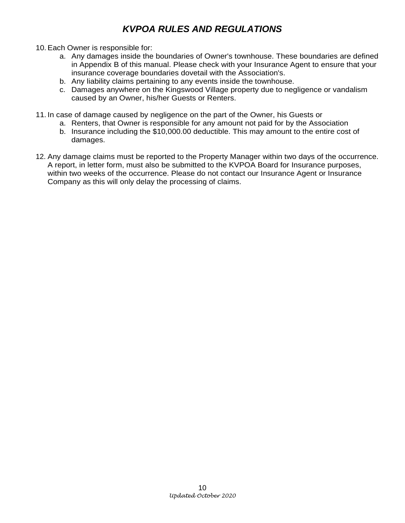- 10. Each Owner is responsible for:
	- a. Any damages inside the boundaries of Owner's townhouse. These boundaries are defined in Appendix B of this manual. Please check with your Insurance Agent to ensure that your insurance coverage boundaries dovetail with the Association's.
	- b. Any liability claims pertaining to any events inside the townhouse.
	- c. Damages anywhere on the Kingswood Village property due to negligence or vandalism caused by an Owner, his/her Guests or Renters.
- 11. In case of damage caused by negligence on the part of the Owner, his Guests or
	- a. Renters, that Owner is responsible for any amount not paid for by the Association
	- b. Insurance including the \$10,000.00 deductible. This may amount to the entire cost of damages.
- 12. Any damage claims must be reported to the Property Manager within two days of the occurrence. A report, in letter form, must also be submitted to the KVPOA Board for Insurance purposes, within two weeks of the occurrence. Please do not contact our Insurance Agent or Insurance Company as this will only delay the processing of claims.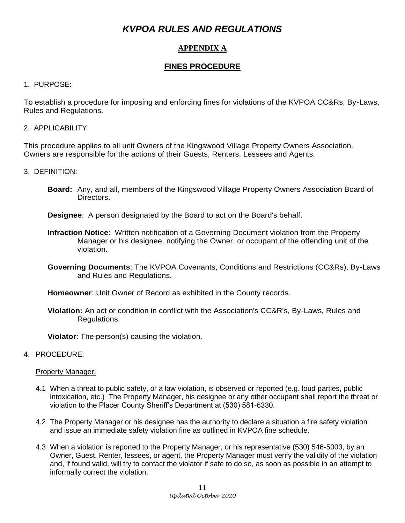## **APPENDIX A**

## **FINES PROCEDURE**

#### 1. PURPOSE:

To establish a procedure for imposing and enforcing fines for violations of the KVPOA CC&Rs, By-Laws, Rules and Regulations.

#### 2. APPLICABILITY:

This procedure applies to all unit Owners of the Kingswood Village Property Owners Association. Owners are responsible for the actions of their Guests, Renters, Lessees and Agents.

#### 3. DEFINITION:

**Board:** Any, and all, members of the Kingswood Village Property Owners Association Board of Directors.

**Designee**: A person designated by the Board to act on the Board's behalf.

- **Infraction Notice**: Written notification of a Governing Document violation from the Property Manager or his designee, notifying the Owner, or occupant of the offending unit of the violation.
- **Governing Documents**: The KVPOA Covenants, Conditions and Restrictions (CC&Rs), By-Laws and Rules and Regulations.

**Homeowner**: Unit Owner of Record as exhibited in the County records.

**Violation:** An act or condition in conflict with the Association's CC&R's, By-Laws, Rules and Regulations.

**Violator**: The person(s) causing the violation.

#### 4. PROCEDURE:

#### Property Manager:

- 4.1 When a threat to public safety, or a law violation, is observed or reported (e.g. loud parties, public intoxication, etc.) The Property Manager, his designee or any other occupant shall report the threat or violation to the Placer County Sheriff's Department at (530) 581-6330.
- 4.2 The Property Manager or his designee has the authority to declare a situation a fire safety violation and issue an immediate safety violation fine as outlined in KVPOA fine schedule.
- 4.3 When a violation is reported to the Property Manager, or his representative (530) 546-5003, by an Owner, Guest, Renter, lessees, or agent, the Property Manager must verify the validity of the violation and, if found valid, will try to contact the violator if safe to do so, as soon as possible in an attempt to informally correct the violation.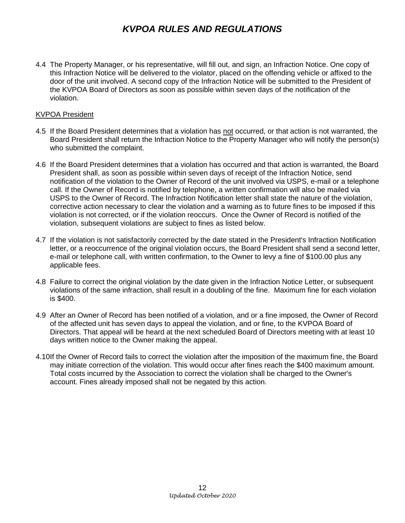4.4 The Property Manager, or his representative, will fill out, and sign, an Infraction Notice. One copy of this Infraction Notice will be delivered to the violator, placed on the offending vehicle or affixed to the door of the unit involved. A second copy of the Infraction Notice will be submitted to the President of the KVPOA Board of Directors as soon as possible within seven days of the notification of the violation.

#### KVPOA President

- 4.5 If the Board President determines that a violation has not occurred, or that action is not warranted, the Board President shall return the Infraction Notice to the Property Manager who will notify the person(s) who submitted the complaint.
- 4.6 If the Board President determines that a violation has occurred and that action is warranted, the Board President shall, as soon as possible within seven days of receipt of the Infraction Notice, send notification of the violation to the Owner of Record of the unit involved via USPS, e-mail or a telephone call. If the Owner of Record is notified by telephone, a written confirmation will also be mailed via USPS to the Owner of Record. The Infraction Notification letter shall state the nature of the violation, corrective action necessary to clear the violation and a warning as to future fines to be imposed if this violation is not corrected, or if the violation reoccurs. Once the Owner of Record is notified of the violation, subsequent violations are subject to fines as listed below.
- 4.7 If the violation is not satisfactorily corrected by the date stated in the President's Infraction Notification letter, or a reoccurrence of the original violation occurs, the Board President shall send a second letter, e-mail or telephone call, with written confirmation, to the Owner to levy a fine of \$100.00 plus any applicable fees.
- 4.8 Failure to correct the original violation by the date given in the Infraction Notice Letter, or subsequent violations of the same infraction, shall result in a doubling of the fine. Maximum fine for each violation is \$400.
- 4.9 After an Owner of Record has been notified of a violation, and or a fine imposed, the Owner of Record of the affected unit has seven days to appeal the violation, and or fine, to the KVPOA Board of Directors. That appeal will be heard at the next scheduled Board of Directors meeting with at least 10 days written notice to the Owner making the appeal.
- 4.10If the Owner of Record fails to correct the violation after the imposition of the maximum fine, the Board may initiate correction of the violation. This would occur after fines reach the \$400 maximum amount. Total costs incurred by the Association to correct the violation shall be charged to the Owner's account. Fines already imposed shall not be negated by this action.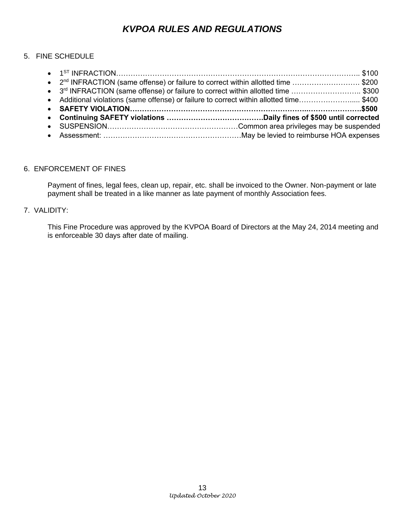#### 5. FINE SCHEDULE

| • 2 <sup>nd</sup> INFRACTION (same offense) or failure to correct within allotted time \$200 |  |
|----------------------------------------------------------------------------------------------|--|
| • 3rd INFRACTION (same offense) or failure to correct within allotted time \$300             |  |
| • Additional violations (same offense) or failure to correct within allotted time\$400       |  |
|                                                                                              |  |
|                                                                                              |  |
|                                                                                              |  |
|                                                                                              |  |
|                                                                                              |  |

#### 6. ENFORCEMENT OF FINES

Payment of fines, legal fees, clean up, repair, etc. shall be invoiced to the Owner. Non-payment or late payment shall be treated in a like manner as late payment of monthly Association fees.

#### 7. VALIDITY:

This Fine Procedure was approved by the KVPOA Board of Directors at the May 24, 2014 meeting and is enforceable 30 days after date of mailing.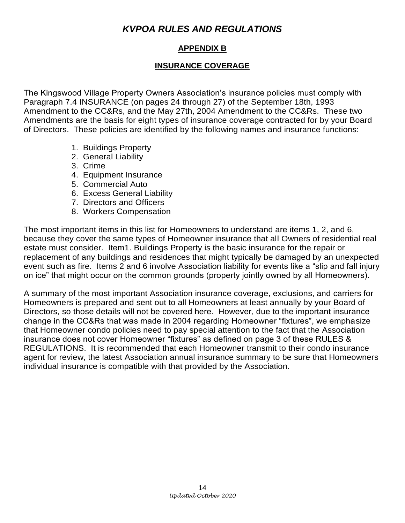## **APPENDIX B**

## **INSURANCE COVERAGE**

The Kingswood Village Property Owners Association's insurance policies must comply with Paragraph 7.4 INSURANCE (on pages 24 through 27) of the September 18th, 1993 Amendment to the CC&Rs, and the May 27th, 2004 Amendment to the CC&Rs. These two Amendments are the basis for eight types of insurance coverage contracted for by your Board of Directors. These policies are identified by the following names and insurance functions:

- 1. Buildings Property
- 2. General Liability
- 3. Crime
- 4. Equipment Insurance
- 5. Commercial Auto
- 6. Excess General Liability
- 7. Directors and Officers
- 8. Workers Compensation

The most important items in this list for Homeowners to understand are items 1, 2, and 6, because they cover the same types of Homeowner insurance that all Owners of residential real estate must consider. Item1. Buildings Property is the basic insurance for the repair or replacement of any buildings and residences that might typically be damaged by an unexpected event such as fire. Items 2 and 6 involve Association liability for events like a "slip and fall injury on ice" that might occur on the common grounds (property jointly owned by all Homeowners).

A summary of the most important Association insurance coverage, exclusions, and carriers for Homeowners is prepared and sent out to all Homeowners at least annually by your Board of Directors, so those details will not be covered here. However, due to the important insurance change in the CC&Rs that was made in 2004 regarding Homeowner "fixtures", we emphasize that Homeowner condo policies need to pay special attention to the fact that the Association insurance does not cover Homeowner "fixtures" as defined on page 3 of these RULES & REGULATIONS. It is recommended that each Homeowner transmit to their condo insurance agent for review, the latest Association annual insurance summary to be sure that Homeowners individual insurance is compatible with that provided by the Association.